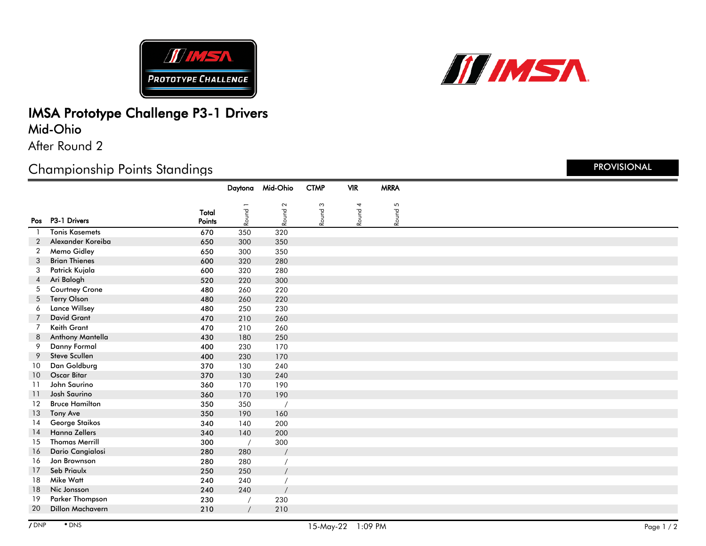



### IMSA Prototype Challenge P3-1 Drivers Mid-Ohio

After Round 2

#### Championship Points Standings

|                |                         |                 | Daytona    | Mid-Ohio | <b>CTMP</b> | <b>VIR</b> | <b>MRRA</b> |  |
|----------------|-------------------------|-----------------|------------|----------|-------------|------------|-------------|--|
|                |                         |                 |            | $\sim$   |             |            | 5           |  |
|                | Pos P3-1 Drivers        | Total<br>Points | Round      | Round    | Round 3     | Round 4    | Round       |  |
|                | <b>Tonis Kasemets</b>   | 670             | 350        | 320      |             |            |             |  |
| $\overline{2}$ | Alexander Koreiba       | 650             | 300        | 350      |             |            |             |  |
| 2              | Memo Gidley             | 650             | 300        | 350      |             |            |             |  |
| 3              | <b>Brian Thienes</b>    | 600             | 320        | 280      |             |            |             |  |
| 3              | Patrick Kujala          | 600             | 320        | 280      |             |            |             |  |
| 4              | Ari Balogh              | 520             | 220        | 300      |             |            |             |  |
| 5              | <b>Courtney Crone</b>   | 480             | 260        | 220      |             |            |             |  |
| 5              | <b>Terry Olson</b>      | 480             | 260        | 220      |             |            |             |  |
| 6              | <b>Lance Willsey</b>    | 480             | 250        | 230      |             |            |             |  |
| 7              | <b>David Grant</b>      | 470             | 210        | 260      |             |            |             |  |
| $\overline{7}$ | Keith Grant             | 470             | 210        | 260      |             |            |             |  |
| 8              | Anthony Mantella        | 430             | 180        | 250      |             |            |             |  |
| 9              | <b>Danny Formal</b>     | 400             | 230        | 170      |             |            |             |  |
| 9              | <b>Steve Scullen</b>    | 400             | 230        | 170      |             |            |             |  |
| 10             | Dan Goldburg            | 370             | 130        | 240      |             |            |             |  |
| 10             | <b>Oscar Bitar</b>      | 370             | 130        | 240      |             |            |             |  |
| 11             | John Saurino            | 360             | 170        | 190      |             |            |             |  |
| 11             | <b>Josh Saurino</b>     | 360             | 170        | 190      |             |            |             |  |
| 12             | <b>Bruce Hamilton</b>   | 350             | 350        |          |             |            |             |  |
| 13             | Tony Ave                | 350             | 190        | 160      |             |            |             |  |
| 14             | George Staikos          | 340             | 140        | 200      |             |            |             |  |
| 14             | <b>Hanna Zellers</b>    | 340             | 140        | 200      |             |            |             |  |
| 15             | <b>Thomas Merrill</b>   | 300             | $\sqrt{2}$ | 300      |             |            |             |  |
| 16             | Dario Cangialosi        | 280             | 280        |          |             |            |             |  |
| 16             | Jon Brownson            | 280             | 280        |          |             |            |             |  |
| 17             | Seb Priaulx             | 250             | 250        |          |             |            |             |  |
| 18             | Mike Watt               | 240             | 240        |          |             |            |             |  |
| 18             | Nic Jonsson             | 240             | 240        |          |             |            |             |  |
| 19             | Parker Thompson         | 230             |            | 230      |             |            |             |  |
| 20             | <b>Dillon Machavern</b> | 210             | $\prime$   | 210      |             |            |             |  |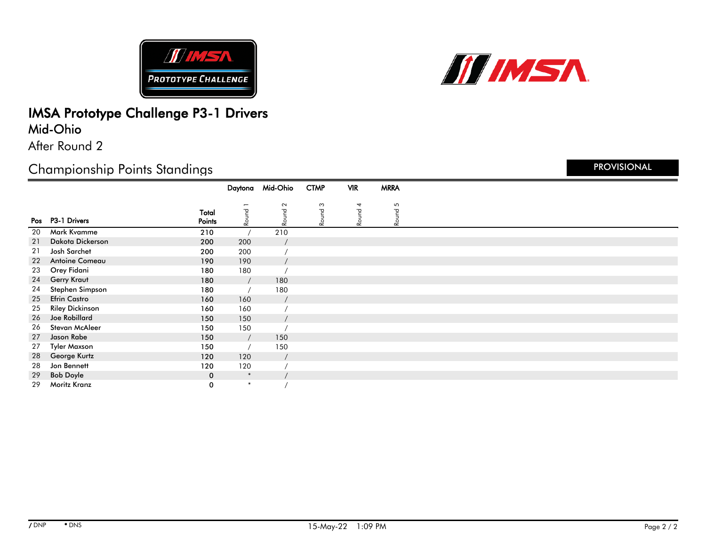



#### IMSA Prototype Challenge P3-1 Drivers Mid-Ohio

After Round 2

# Championship Points Standings

|    |                        |                 | Daytona | Mid-Ohio | <b>CTMP</b>    | <b>VIR</b> | <b>MRRA</b> |
|----|------------------------|-----------------|---------|----------|----------------|------------|-------------|
|    |                        |                 |         | $\sim$   | $\mathfrak{S}$ | 4          |             |
|    | Pos P3-1 Drivers       | Total<br>Points | Round   | Round    | Round          | Round      | Round 5     |
| 20 | Mark Kvamme            | 210             |         | 210      |                |            |             |
| 21 | Dakota Dickerson       | 200             | 200     |          |                |            |             |
| 21 | Josh Sarchet           | 200             | 200     |          |                |            |             |
| 22 | Antoine Comeau         | 190             | 190     |          |                |            |             |
| 23 | Orey Fidani            | 180             | 180     |          |                |            |             |
| 24 | Gerry Kraut            | 180             |         | 180      |                |            |             |
| 24 | Stephen Simpson        | 180             |         | 180      |                |            |             |
| 25 | <b>Efrin Castro</b>    | 160             | 160     |          |                |            |             |
| 25 | <b>Riley Dickinson</b> | 160             | 160     |          |                |            |             |
| 26 | Joe Robillard          | 150             | 150     |          |                |            |             |
| 26 | Stevan McAleer         | 150             | 150     |          |                |            |             |
| 27 | Jason Rabe             | 150             |         | 150      |                |            |             |
| 27 | Tyler Maxson           | 150             |         | 150      |                |            |             |
| 28 | George Kurtz           | 120             | 120     |          |                |            |             |
| 28 | Jon Bennett            | 120             | 120     |          |                |            |             |
| 29 | <b>Bob Doyle</b>       | $\mathbf 0$     | $\ast$  |          |                |            |             |
| 29 | Moritz Kranz           | 0               | $\ast$  |          |                |            |             |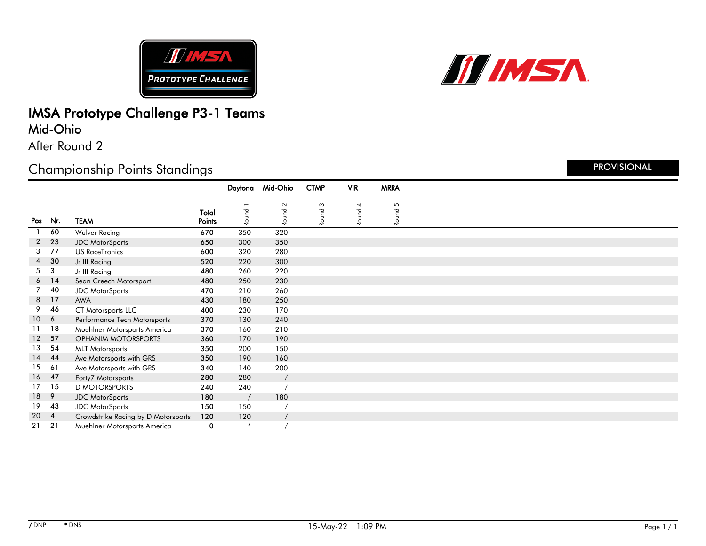



## IMSA Prototype Challenge P3-1 Teams Mid-Ohio

After Round 2

# Championship Points Standings

|                 |                 |                                     |        | Daytona | Mid-Ohio       | <b>CTMP</b> | <b>VIR</b> | <b>MRRA</b> |  |
|-----------------|-----------------|-------------------------------------|--------|---------|----------------|-------------|------------|-------------|--|
|                 |                 |                                     |        |         |                |             |            |             |  |
|                 |                 |                                     | Total  | Round   | $\sim$<br>burg | Round 3     | 4<br>Round | Round 5     |  |
| Pos             | Nr.             | <b>TEAM</b>                         | Points |         | è              |             |            |             |  |
|                 | 60              | Wulver Racing                       | 670    | 350     | 320            |             |            |             |  |
| $\overline{2}$  | 23              | <b>JDC MotorSports</b>              | 650    | 300     | 350            |             |            |             |  |
| 3               | 77              | <b>US RaceTronics</b>               | 600    | 320     | 280            |             |            |             |  |
| $\overline{4}$  | 30              | Jr III Racing                       | 520    | 220     | 300            |             |            |             |  |
| 5               | 3               | Jr III Racing                       | 480    | 260     | 220            |             |            |             |  |
|                 | $6$ 14          | Sean Creech Motorsport              | 480    | 250     | 230            |             |            |             |  |
| $7^{\circ}$     | 40              | <b>JDC</b> MotorSports              | 470    | 210     | 260            |             |            |             |  |
|                 | 8 17            | <b>AWA</b>                          | 430    | 180     | 250            |             |            |             |  |
| 9               | 46              | CT Motorsports LLC                  | 400    | 230     | 170            |             |            |             |  |
| 10 <sup>1</sup> | $6\overline{6}$ | Performance Tech Motorsports        | 370    | 130     | 240            |             |            |             |  |
| 11              | 18              | Muehlner Motorsports America        | 370    | 160     | 210            |             |            |             |  |
| 12 <sup>°</sup> | 57              | <b>OPHANIM MOTORSPORTS</b>          | 360    | 170     | 190            |             |            |             |  |
| 13              | 54              | <b>MLT Motorsports</b>              | 350    | 200     | 150            |             |            |             |  |
| 14              | 44              | Ave Motorsports with GRS            | 350    | 190     | 160            |             |            |             |  |
| 15              | 61              | Ave Motorsports with GRS            | 340    | 140     | 200            |             |            |             |  |
| 16 <sup>1</sup> | 47              | Forty7 Motorsports                  | 280    | 280     |                |             |            |             |  |
| 17              | 15              | <b>D MOTORSPORTS</b>                | 240    | 240     |                |             |            |             |  |
| 18              | 9               | <b>JDC</b> MotorSports              | 180    |         | 180            |             |            |             |  |
| 19              | 43              | <b>JDC</b> MotorSports              | 150    | 150     |                |             |            |             |  |
| 20              | $\overline{4}$  | Crowdstrike Racing by D Motorsports | 120    | 120     |                |             |            |             |  |
| 21              | 21              | Muehlner Motorsports America        | 0      | $\ast$  |                |             |            |             |  |